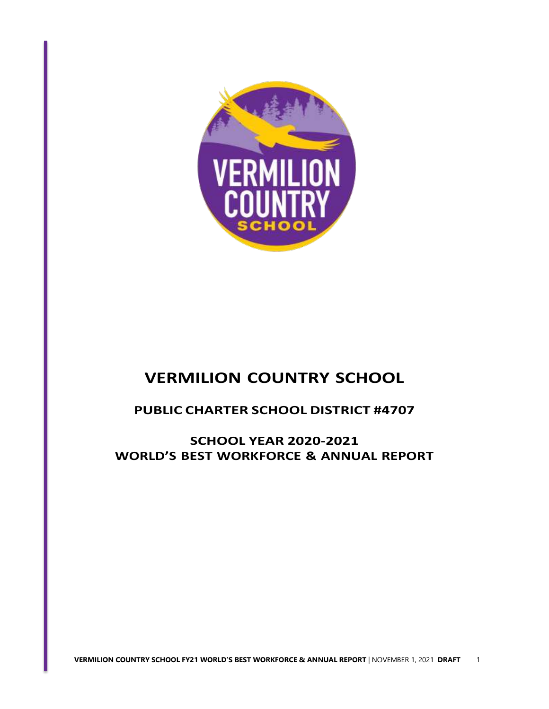

# **VERMILION COUNTRY SCHOOL**

# **PUBLIC CHARTER SCHOOL DISTRICT #4707**

**SCHOOL YEAR 2020-2021 WORLD'S BEST WORKFORCE & ANNUAL REPORT**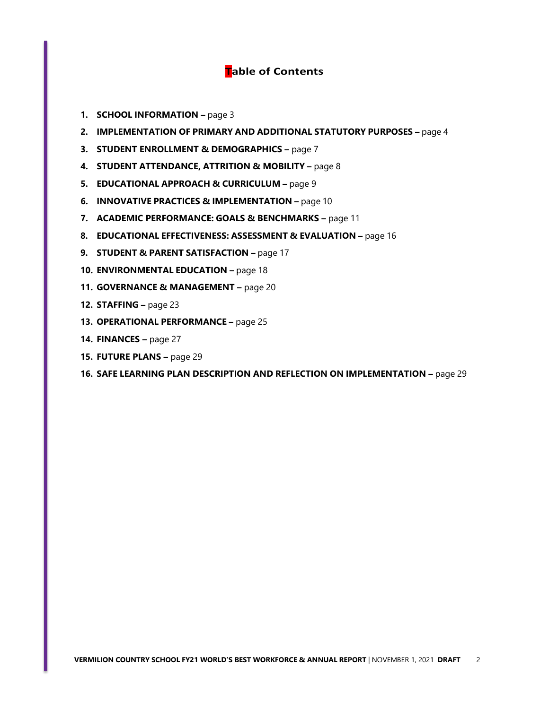# **Table of Contents**

- **1. SCHOOL INFORMATION –** page 3
- **2. IMPLEMENTATION OF PRIMARY AND ADDITIONAL STATUTORY PURPOSES –** page 4
- **3. STUDENT ENROLLMENT & DEMOGRAPHICS –** page 7
- **4. STUDENT ATTENDANCE, ATTRITION & MOBILITY –** page 8
- **5. EDUCATIONAL APPROACH & CURRICULUM –** page 9
- **6. INNOVATIVE PRACTICES & IMPLEMENTATION –** page 10
- **7. ACADEMIC PERFORMANCE: GOALS & BENCHMARKS –** page 11
- **8. EDUCATIONAL EFFECTIVENESS: ASSESSMENT & EVALUATION –** page 16
- **9. STUDENT & PARENT SATISFACTION –** page 17
- **10. ENVIRONMENTAL EDUCATION –** page 18
- **11. GOVERNANCE & MANAGEMENT –** page 20
- **12. STAFFING –** page 23
- **13. OPERATIONAL PERFORMANCE –** page 25
- **14. FINANCES –** page 27
- **15. FUTURE PLANS –** page 29
- **16. SAFE LEARNING PLAN DESCRIPTION AND REFLECTION ON IMPLEMENTATION –** page 29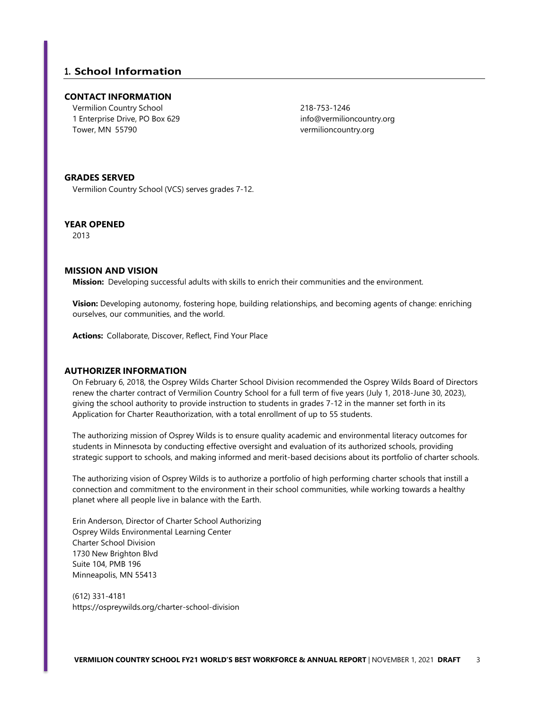# **1. School Information**

### **CONTACT INFORMATION**

Vermilion Country School 1 Enterprise Drive, PO Box 629 Tower, MN 55790

218-753-1246 [info@vermilioncountry.org](mailto:info@vermilioncountry.org) vermilioncountry.org

### **GRADES SERVED**

Vermilion Country School (VCS) serves grades 7-12.

### **YEAR OPENED**

2013

### **MISSION AND VISION**

**Mission:** Developing successful adults with skills to enrich their communities and the environment.

**Vision:** Developing autonomy, fostering hope, building relationships, and becoming agents of change: enriching ourselves, our communities, and the world.

**Actions:** Collaborate, Discover, Reflect, Find Your Place

### **AUTHORIZER INFORMATION**

On February 6, 2018, the Osprey Wilds Charter School Division recommended the Osprey Wilds Board of Directors renew the charter contract of Vermilion Country School for a full term of five years (July 1, 2018-June 30, 2023), giving the school authority to provide instruction to students in grades 7-12 in the manner set forth in its Application for Charter Reauthorization, with a total enrollment of up to 55 students.

The authorizing mission of Osprey Wilds is to ensure quality academic and environmental literacy outcomes for students in Minnesota by conducting effective oversight and evaluation of its authorized schools, providing strategic support to schools, and making informed and merit-based decisions about its portfolio of charter schools.

The authorizing vision of Osprey Wilds is to authorize a portfolio of high performing charter schools that instill a connection and commitment to the environment in their school communities, while working towards a healthy planet where all people live in balance with the Earth.

Erin Anderson, Director of Charter School Authorizing Osprey Wilds Environmental Learning Center Charter School Division 1730 New Brighton Blvd Suite 104, PMB 196 Minneapolis, MN 55413

(612) 331-4181 https://ospreywilds.org/charter-school-division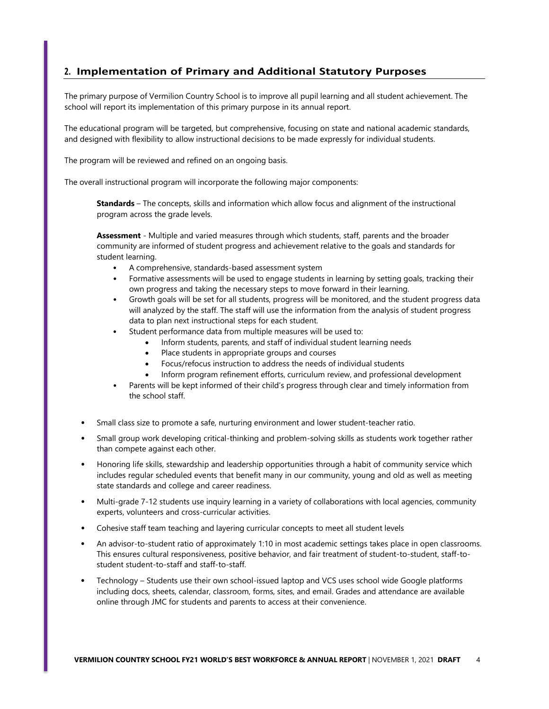# **2. Implementation of Primary and Additional Statutory Purposes**

The primary purpose of Vermilion Country School is to improve all pupil learning and all student achievement. The school will report its implementation of this primary purpose in its annual report.

The educational program will be targeted, but comprehensive, focusing on state and national academic standards, and designed with flexibility to allow instructional decisions to be made expressly for individual students.

The program will be reviewed and refined on an ongoing basis.

The overall instructional program will incorporate the following major components:

**Standards** – The concepts, skills and information which allow focus and alignment of the instructional program across the grade levels.

**Assessment** - Multiple and varied measures through which students, staff, parents and the broader community are informed of student progress and achievement relative to the goals and standards for student learning.

- A comprehensive, standards-based assessment system
- Formative assessments will be used to engage students in learning by setting goals, tracking their own progress and taking the necessary steps to move forward in their learning.
- Growth goals will be set for all students, progress will be monitored, and the student progress data will analyzed by the staff. The staff will use the information from the analysis of student progress data to plan next instructional steps for each student.
- Student performance data from multiple measures will be used to:
	- Inform students, parents, and staff of individual student learning needs
	- Place students in appropriate groups and courses
	- Focus/refocus instruction to address the needs of individual students
	- Inform program refinement efforts, curriculum review, and professional development
- Parents will be kept informed of their child's progress through clear and timely information from the school staff.
- Small class size to promote a safe, nurturing environment and lower student-teacher ratio.
- Small group work developing critical-thinking and problem-solving skills as students work together rather than compete against each other.
- Honoring life skills, stewardship and leadership opportunities through a habit of community service which includes regular scheduled events that benefit many in our community, young and old as well as meeting state standards and college and career readiness.
- Multi-grade 7-12 students use inquiry learning in a variety of collaborations with local agencies, community experts, volunteers and cross-curricular activities.
- Cohesive staff team teaching and layering curricular concepts to meet all student levels
- An advisor-to-student ratio of approximately 1:10 in most academic settings takes place in open classrooms. This ensures cultural responsiveness, positive behavior, and fair treatment of student-to-student, staff-tostudent student-to-staff and staff-to-staff.
- Technology Students use their own school-issued laptop and VCS uses school wide Google platforms including docs, sheets, calendar, classroom, forms, sites, and email. Grades and attendance are available online through JMC for students and parents to access at their convenience.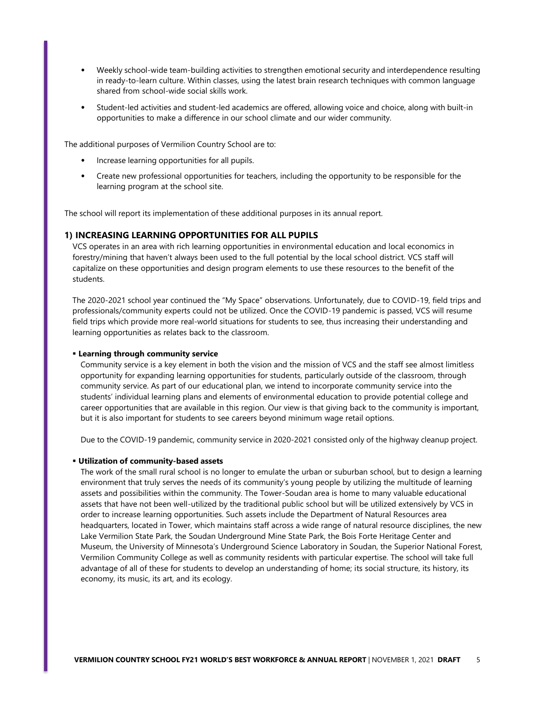- Weekly school-wide team-building activities to strengthen emotional security and interdependence resulting in ready-to-learn culture. Within classes, using the latest brain research techniques with common language shared from school-wide social skills work.
- Student-led activities and student-led academics are offered, allowing voice and choice, along with built-in opportunities to make a difference in our school climate and our wider community.

The additional purposes of Vermilion Country School are to:

- Increase learning opportunities for all pupils.
- Create new professional opportunities for teachers, including the opportunity to be responsible for the learning program at the school site.

The school will report its implementation of these additional purposes in its annual report.

### **1) INCREASING LEARNING OPPORTUNITIES FOR ALL PUPILS**

VCS operates in an area with rich learning opportunities in environmental education and local economics in forestry/mining that haven't always been used to the full potential by the local school district. VCS staff will capitalize on these opportunities and design program elements to use these resources to the benefit of the students.

The 2020-2021 school year continued the "My Space" observations. Unfortunately, due to COVID-19, field trips and professionals/community experts could not be utilized. Once the COVID-19 pandemic is passed, VCS will resume field trips which provide more real-world situations for students to see, thus increasing their understanding and learning opportunities as relates back to the classroom.

#### **Learning through community service**

Community service is a key element in both the vision and the mission of VCS and the staff see almost limitless opportunity for expanding learning opportunities for students, particularly outside of the classroom, through community service. As part of our educational plan, we intend to incorporate community service into the students' individual learning plans and elements of environmental education to provide potential college and career opportunities that are available in this region. Our view is that giving back to the community is important, but it is also important for students to see careers beyond minimum wage retail options.

Due to the COVID-19 pandemic, community service in 2020-2021 consisted only of the highway cleanup project.

#### **Utilization of community-based assets**

The work of the small rural school is no longer to emulate the urban or suburban school, but to design a learning environment that truly serves the needs of its community's young people by utilizing the multitude of learning assets and possibilities within the community. The Tower-Soudan area is home to many valuable educational assets that have not been well-utilized by the traditional public school but will be utilized extensively by VCS in order to increase learning opportunities. Such assets include the Department of Natural Resources area headquarters, located in Tower, which maintains staff across a wide range of natural resource disciplines, the new Lake Vermilion State Park, the Soudan Underground Mine State Park, the Bois Forte Heritage Center and Museum, the University of Minnesota's Underground Science Laboratory in Soudan, the Superior National Forest, Vermilion Community College as well as community residents with particular expertise. The school will take full advantage of all of these for students to develop an understanding of home; its social structure, its history, its economy, its music, its art, and its ecology.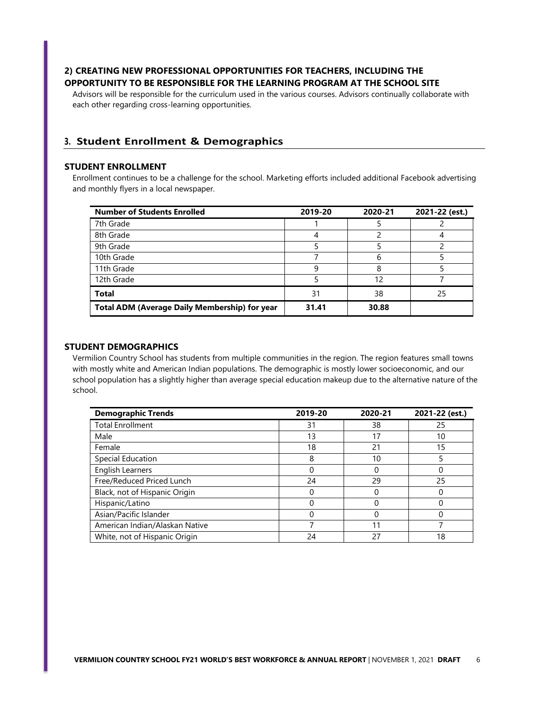# **2) CREATING NEW PROFESSIONAL OPPORTUNITIES FOR TEACHERS, INCLUDING THE OPPORTUNITY TO BE RESPONSIBLE FOR THE LEARNING PROGRAM AT THE SCHOOL SITE**

Advisors will be responsible for the curriculum used in the various courses. Advisors continually collaborate with each other regarding cross-learning opportunities.

# **3. Student Enrollment & Demographics**

### **STUDENT ENROLLMENT**

Enrollment continues to be a challenge for the school. Marketing efforts included additional Facebook advertising and monthly flyers in a local newspaper.

| <b>Number of Students Enrolled</b>                   | 2019-20 | 2020-21 | 2021-22 (est.) |
|------------------------------------------------------|---------|---------|----------------|
| 7th Grade                                            |         |         |                |
| 8th Grade                                            |         |         |                |
| 9th Grade                                            |         |         |                |
| 10th Grade                                           |         | b       |                |
| 11th Grade                                           | 9       | 8       |                |
| 12th Grade                                           |         | 12      |                |
| <b>Total</b>                                         | 31      | 38      | 25             |
| <b>Total ADM (Average Daily Membership) for year</b> | 31.41   | 30.88   |                |

# **STUDENT DEMOGRAPHICS**

Vermilion Country School has students from multiple communities in the region. The region features small towns with mostly white and American Indian populations. The demographic is mostly lower socioeconomic, and our school population has a slightly higher than average special education makeup due to the alternative nature of the school.

| <b>Demographic Trends</b>      | 2019-20 | 2020-21 | 2021-22 (est.) |
|--------------------------------|---------|---------|----------------|
| <b>Total Enrollment</b>        | 31      | 38      | 25             |
| Male                           | 13      | 17      | 10             |
| Female                         | 18      | 21      | 15             |
| Special Education              | 8       | 10      |                |
| <b>English Learners</b>        |         | 0       |                |
| Free/Reduced Priced Lunch      | 24      | 29      | 25             |
| Black, not of Hispanic Origin  |         | O       |                |
| Hispanic/Latino                |         |         |                |
| Asian/Pacific Islander         |         |         |                |
| American Indian/Alaskan Native |         | 11      |                |
| White, not of Hispanic Origin  | 24      | 27      | 18             |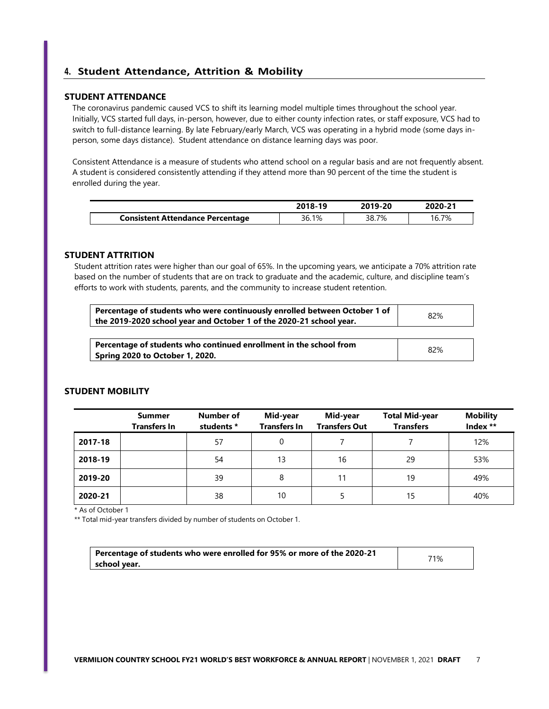# **4. Student Attendance, Attrition & Mobility**

### **STUDENT ATTENDANCE**

The coronavirus pandemic caused VCS to shift its learning model multiple times throughout the school year. Initially, VCS started full days, in-person, however, due to either county infection rates, or staff exposure, VCS had to switch to full-distance learning. By late February/early March, VCS was operating in a hybrid mode (some days inperson, some days distance). Student attendance on distance learning days was poor.

Consistent Attendance is a measure of students who attend school on a regular basis and are not frequently absent. A student is considered consistently attending if they attend more than 90 percent of the time the student is enrolled during the year.

|                                         | 2018-19 | 2019-20 | 2020-21 |
|-----------------------------------------|---------|---------|---------|
| <b>Consistent Attendance Percentage</b> | 36.1%   | 38.7%   | 16.7%   |

# **STUDENT ATTRITION**

Student attrition rates were higher than our goal of 65%. In the upcoming years, we anticipate a 70% attrition rate based on the number of students that are on track to graduate and the academic, culture, and discipline team's efforts to work with students, parents, and the community to increase student retention.

| Percentage of students who were continuously enrolled between October 1 of<br>the 2019-2020 school year and October 1 of the 2020-21 school year. | 82% |
|---------------------------------------------------------------------------------------------------------------------------------------------------|-----|
|                                                                                                                                                   |     |
| Percentage of students who continued enrollment in the school from<br><b>Spring 2020 to October 1, 2020.</b>                                      | 82% |

# **STUDENT MOBILITY**

|         | Summer<br><b>Transfers In</b> | Number of<br>students * | Mid-year<br><b>Transfers In</b> | Mid-year<br><b>Transfers Out</b> | <b>Total Mid-year</b><br><b>Transfers</b> | <b>Mobility</b><br>Index ** |
|---------|-------------------------------|-------------------------|---------------------------------|----------------------------------|-------------------------------------------|-----------------------------|
| 2017-18 |                               | 57                      | 0                               |                                  |                                           | 12%                         |
| 2018-19 |                               | 54                      | 13                              | 16                               | 29                                        | 53%                         |
| 2019-20 |                               | 39                      | 8                               | 11                               | 19                                        | 49%                         |
| 2020-21 |                               | 38                      | 10                              | 5.                               | 15                                        | 40%                         |

\* As of October 1

\*\* Total mid-year transfers divided by number of students on October 1.

| Percentage of students who were enrolled for 95% or more of the 2020-21 | 71% |
|-------------------------------------------------------------------------|-----|
| school year.                                                            |     |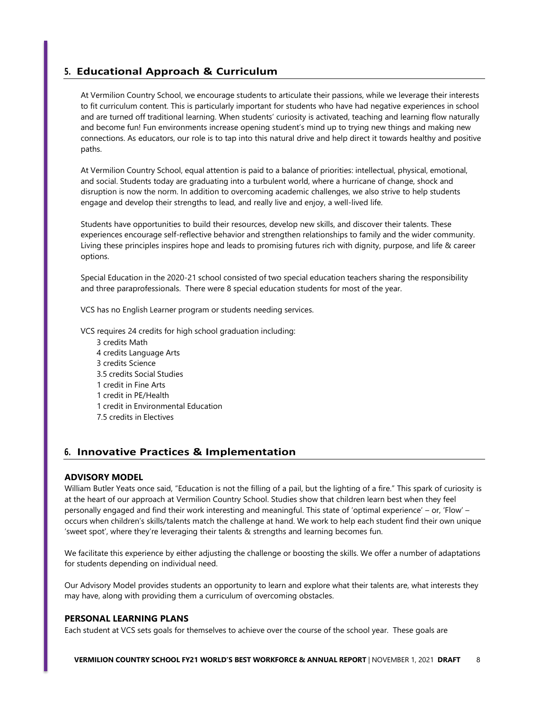# **5. Educational Approach & Curriculum**

At Vermilion Country School, we encourage students to articulate their passions, while we leverage their interests to fit curriculum content. This is particularly important for students who have had negative experiences in school and are turned off traditional learning. When students' curiosity is activated, teaching and learning flow naturally and become fun! Fun environments increase opening student's mind up to trying new things and making new connections. As educators, our role is to tap into this natural drive and help direct it towards healthy and positive paths.

At Vermilion Country School, equal attention is paid to a balance of priorities: intellectual, physical, emotional, and social. Students today are graduating into a turbulent world, where a hurricane of change, shock and disruption is now the norm. In addition to overcoming academic challenges, we also strive to help students engage and develop their strengths to lead, and really live and enjoy, a well-lived life.

Students have opportunities to build their resources, develop new skills, and discover their talents. These experiences encourage self-reflective behavior and strengthen relationships to family and the wider community. Living these principles inspires hope and leads to promising futures rich with dignity, purpose, and life & career options.

Special Education in the 2020-21 school consisted of two special education teachers sharing the responsibility and three paraprofessionals. There were 8 special education students for most of the year.

VCS has no English Learner program or students needing services.

VCS requires 24 credits for high school graduation including:

 credits Math credits Language Arts credits Science 3.5 credits Social Studies credit in Fine Arts credit in PE/Health credit in Environmental Education 7.5 credits in Electives

# **6. Innovative Practices & Implementation**

### **ADVISORY MODEL**

William Butler Yeats once said, "Education is not the filling of a pail, but the lighting of a fire." This spark of curiosity is at the heart of our approach at Vermilion Country School. Studies show that children learn best when they feel personally engaged and find their work interesting and meaningful. This state of 'optimal experience' – or, 'Flow' – occurs when children's skills/talents match the challenge at hand. We work to help each student find their own unique 'sweet spot', where they're leveraging their talents & strengths and learning becomes fun.

We facilitate this experience by either adjusting the challenge or boosting the skills. We offer a number of adaptations for students depending on individual need.

Our Advisory Model provides students an opportunity to learn and explore what their talents are, what interests they may have, along with providing them a curriculum of overcoming obstacles.

### **PERSONAL LEARNING PLANS**

Each student at VCS sets goals for themselves to achieve over the course of the school year. These goals are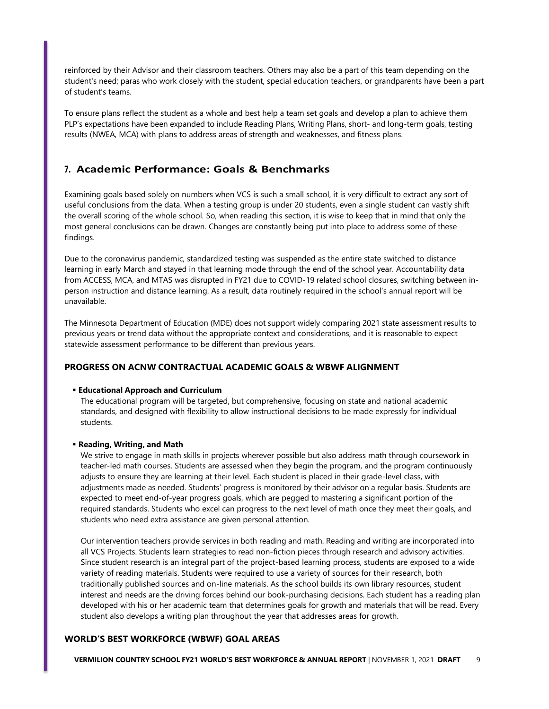reinforced by their Advisor and their classroom teachers. Others may also be a part of this team depending on the student's need; paras who work closely with the student, special education teachers, or grandparents have been a part of student's teams.

To ensure plans reflect the student as a whole and best help a team set goals and develop a plan to achieve them PLP's expectations have been expanded to include Reading Plans, Writing Plans, short- and long-term goals, testing results (NWEA, MCA) with plans to address areas of strength and weaknesses, and fitness plans.

# **7. Academic Performance: Goals & Benchmarks**

Examining goals based solely on numbers when VCS is such a small school, it is very difficult to extract any sort of useful conclusions from the data. When a testing group is under 20 students, even a single student can vastly shift the overall scoring of the whole school. So, when reading this section, it is wise to keep that in mind that only the most general conclusions can be drawn. Changes are constantly being put into place to address some of these findings.

Due to the coronavirus pandemic, standardized testing was suspended as the entire state switched to distance learning in early March and stayed in that learning mode through the end of the school year. Accountability data from ACCESS, MCA, and MTAS was disrupted in FY21 due to COVID-19 related school closures, switching between inperson instruction and distance learning. As a result, data routinely required in the school's annual report will be unavailable.

The Minnesota Department of Education (MDE) does not support widely comparing 2021 state assessment results to previous years or trend data without the appropriate context and considerations, and it is reasonable to expect statewide assessment performance to be different than previous years.

# **PROGRESS ON ACNW CONTRACTUAL ACADEMIC GOALS & WBWF ALIGNMENT**

### **Educational Approach and Curriculum**

The educational program will be targeted, but comprehensive, focusing on state and national academic standards, and designed with flexibility to allow instructional decisions to be made expressly for individual students.

### **Reading, Writing, and Math**

We strive to engage in math skills in projects wherever possible but also address math through coursework in teacher-led math courses. Students are assessed when they begin the program, and the program continuously adjusts to ensure they are learning at their level. Each student is placed in their grade-level class, with adjustments made as needed. Students' progress is monitored by their advisor on a regular basis. Students are expected to meet end-of-year progress goals, which are pegged to mastering a significant portion of the required standards. Students who excel can progress to the next level of math once they meet their goals, and students who need extra assistance are given personal attention.

Our intervention teachers provide services in both reading and math. Reading and writing are incorporated into all VCS Projects. Students learn strategies to read non-fiction pieces through research and advisory activities. Since student research is an integral part of the project-based learning process, students are exposed to a wide variety of reading materials. Students were required to use a variety of sources for their research, both traditionally published sources and on-line materials. As the school builds its own library resources, student interest and needs are the driving forces behind our book-purchasing decisions. Each student has a reading plan developed with his or her academic team that determines goals for growth and materials that will be read. Every student also develops a writing plan throughout the year that addresses areas for growth.

### **WORLD'S BEST WORKFORCE (WBWF) GOAL AREAS**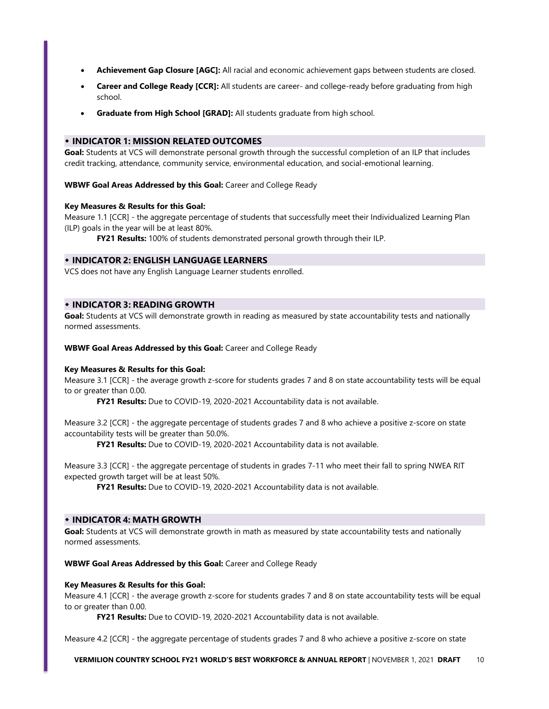- **Achievement Gap Closure [AGC]:** All racial and economic achievement gaps between students are closed.
- **Career and College Ready [CCR]:** All students are career- and college-ready before graduating from high school.
- **Graduate from High School [GRAD]:** All students graduate from high school.

# **INDICATOR 1: MISSION RELATED OUTCOMES**

**Goal:** Students at VCS will demonstrate personal growth through the successful completion of an ILP that includes credit tracking, attendance, community service, environmental education, and social-emotional learning.

**WBWF Goal Areas Addressed by this Goal:** Career and College Ready

### **Key Measures & Results for this Goal:**

Measure 1.1 [CCR] - the aggregate percentage of students that successfully meet their Individualized Learning Plan (ILP) goals in the year will be at least 80%.

**FY21 Results:** 100% of students demonstrated personal growth through their ILP.

# **INDICATOR 2: ENGLISH LANGUAGE LEARNERS**

VCS does not have any English Language Learner students enrolled.

### **INDICATOR 3: READING GROWTH**

**Goal:** Students at VCS will demonstrate growth in reading as measured by state accountability tests and nationally normed assessments.

**WBWF Goal Areas Addressed by this Goal:** Career and College Ready

### **Key Measures & Results for this Goal:**

Measure 3.1 [CCR] - the average growth z-score for students grades 7 and 8 on state accountability tests will be equal to or greater than 0.00.

**FY21 Results:** Due to COVID-19, 2020-2021 Accountability data is not available.

Measure 3.2 [CCR] - the aggregate percentage of students grades 7 and 8 who achieve a positive z-score on state accountability tests will be greater than 50.0%.

**FY21 Results:** Due to COVID-19, 2020-2021 Accountability data is not available.

Measure 3.3 [CCR] - the aggregate percentage of students in grades 7-11 who meet their fall to spring NWEA RIT expected growth target will be at least 50%.

**FY21 Results:** Due to COVID-19, 2020-2021 Accountability data is not available.

### **INDICATOR 4: MATH GROWTH**

**Goal:** Students at VCS will demonstrate growth in math as measured by state accountability tests and nationally normed assessments.

**WBWF Goal Areas Addressed by this Goal:** Career and College Ready

### **Key Measures & Results for this Goal:**

Measure 4.1 [CCR] - the average growth z-score for students grades 7 and 8 on state accountability tests will be equal to or greater than 0.00.

**FY21 Results:** Due to COVID-19, 2020-2021 Accountability data is not available.

Measure 4.2 [CCR] - the aggregate percentage of students grades 7 and 8 who achieve a positive z-score on state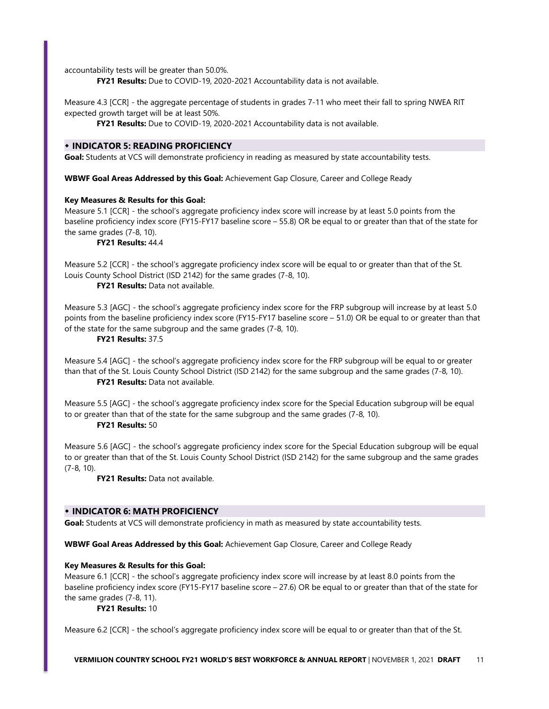accountability tests will be greater than 50.0%.

**FY21 Results:** Due to COVID-19, 2020-2021 Accountability data is not available.

Measure 4.3 [CCR] - the aggregate percentage of students in grades 7-11 who meet their fall to spring NWEA RIT expected growth target will be at least 50%.

**FY21 Results:** Due to COVID-19, 2020-2021 Accountability data is not available.

### **INDICATOR 5: READING PROFICIENCY**

Goal: Students at VCS will demonstrate proficiency in reading as measured by state accountability tests.

**WBWF Goal Areas Addressed by this Goal:** Achievement Gap Closure, Career and College Ready

### **Key Measures & Results for this Goal:**

Measure 5.1 [CCR] - the school's aggregate proficiency index score will increase by at least 5.0 points from the baseline proficiency index score (FY15-FY17 baseline score – 55.8) OR be equal to or greater than that of the state for the same grades (7-8, 10).

**FY21 Results:** 44.4

Measure 5.2 [CCR] - the school's aggregate proficiency index score will be equal to or greater than that of the St. Louis County School District (ISD 2142) for the same grades (7-8, 10).

**FY21 Results:** Data not available.

Measure 5.3 [AGC] - the school's aggregate proficiency index score for the FRP subgroup will increase by at least 5.0 points from the baseline proficiency index score (FY15-FY17 baseline score – 51.0) OR be equal to or greater than that of the state for the same subgroup and the same grades (7-8, 10).

### **FY21 Results:** 37.5

Measure 5.4 [AGC] - the school's aggregate proficiency index score for the FRP subgroup will be equal to or greater than that of the St. Louis County School District (ISD 2142) for the same subgroup and the same grades (7-8, 10). **FY21 Results:** Data not available.

Measure 5.5 [AGC] - the school's aggregate proficiency index score for the Special Education subgroup will be equal to or greater than that of the state for the same subgroup and the same grades (7-8, 10).

**FY21 Results:** 50

Measure 5.6 [AGC] - the school's aggregate proficiency index score for the Special Education subgroup will be equal to or greater than that of the St. Louis County School District (ISD 2142) for the same subgroup and the same grades (7-8, 10).

**FY21 Results:** Data not available.

# **INDICATOR 6: MATH PROFICIENCY**

**Goal:** Students at VCS will demonstrate proficiency in math as measured by state accountability tests.

**WBWF Goal Areas Addressed by this Goal:** Achievement Gap Closure, Career and College Ready

### **Key Measures & Results for this Goal:**

Measure 6.1 [CCR] - the school's aggregate proficiency index score will increase by at least 8.0 points from the baseline proficiency index score (FY15-FY17 baseline score – 27.6) OR be equal to or greater than that of the state for the same grades (7-8, 11).

#### **FY21 Results:** 10

Measure 6.2 [CCR] - the school's aggregate proficiency index score will be equal to or greater than that of the St.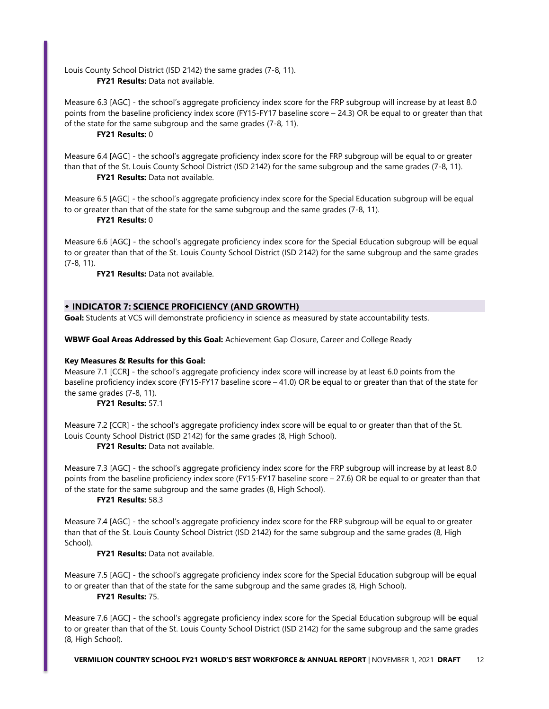Louis County School District (ISD 2142) the same grades (7-8, 11). **FY21 Results:** Data not available.

Measure 6.3 [AGC] - the school's aggregate proficiency index score for the FRP subgroup will increase by at least 8.0 points from the baseline proficiency index score (FY15-FY17 baseline score – 24.3) OR be equal to or greater than that of the state for the same subgroup and the same grades (7-8, 11).

### **FY21 Results:** 0

Measure 6.4 [AGC] - the school's aggregate proficiency index score for the FRP subgroup will be equal to or greater than that of the St. Louis County School District (ISD 2142) for the same subgroup and the same grades (7-8, 11). **FY21 Results:** Data not available.

Measure 6.5 [AGC] - the school's aggregate proficiency index score for the Special Education subgroup will be equal to or greater than that of the state for the same subgroup and the same grades (7-8, 11).

### **FY21 Results:** 0

Measure 6.6 [AGC] - the school's aggregate proficiency index score for the Special Education subgroup will be equal to or greater than that of the St. Louis County School District (ISD 2142) for the same subgroup and the same grades (7-8, 11).

**FY21 Results:** Data not available.

# **INDICATOR 7: SCIENCE PROFICIENCY (AND GROWTH)**

Goal: Students at VCS will demonstrate proficiency in science as measured by state accountability tests.

**WBWF Goal Areas Addressed by this Goal:** Achievement Gap Closure, Career and College Ready

### **Key Measures & Results for this Goal:**

Measure 7.1 [CCR] - the school's aggregate proficiency index score will increase by at least 6.0 points from the baseline proficiency index score (FY15-FY17 baseline score – 41.0) OR be equal to or greater than that of the state for the same grades (7-8, 11).

# **FY21 Results:** 57.1

Measure 7.2 [CCR] - the school's aggregate proficiency index score will be equal to or greater than that of the St. Louis County School District (ISD 2142) for the same grades (8, High School).

**FY21 Results:** Data not available.

Measure 7.3 [AGC] - the school's aggregate proficiency index score for the FRP subgroup will increase by at least 8.0 points from the baseline proficiency index score (FY15-FY17 baseline score – 27.6) OR be equal to or greater than that of the state for the same subgroup and the same grades (8, High School).

### **FY21 Results:** 58.3

Measure 7.4 [AGC] - the school's aggregate proficiency index score for the FRP subgroup will be equal to or greater than that of the St. Louis County School District (ISD 2142) for the same subgroup and the same grades (8, High School).

# **FY21 Results:** Data not available.

Measure 7.5 [AGC] - the school's aggregate proficiency index score for the Special Education subgroup will be equal to or greater than that of the state for the same subgroup and the same grades (8, High School). **FY21 Results:** 75.

Measure 7.6 [AGC] - the school's aggregate proficiency index score for the Special Education subgroup will be equal to or greater than that of the St. Louis County School District (ISD 2142) for the same subgroup and the same grades (8, High School).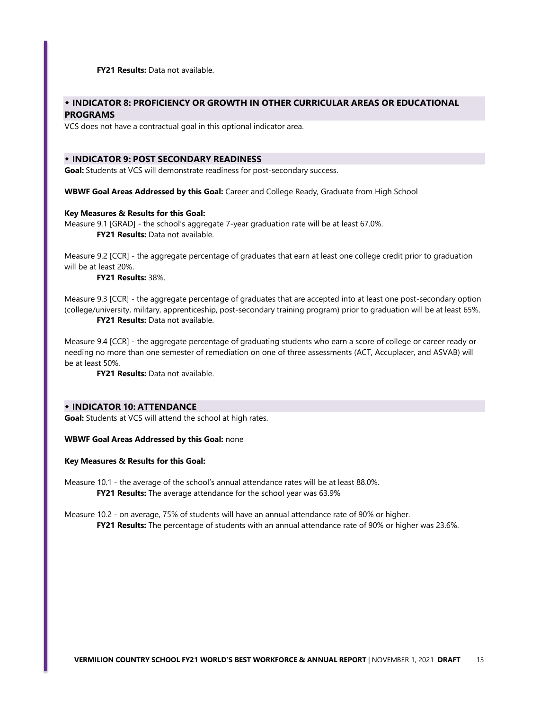**FY21 Results:** Data not available.

# **INDICATOR 8: PROFICIENCY OR GROWTH IN OTHER CURRICULAR AREAS OR EDUCATIONAL PROGRAMS**

VCS does not have a contractual goal in this optional indicator area.

### **INDICATOR 9: POST SECONDARY READINESS**

**Goal:** Students at VCS will demonstrate readiness for post-secondary success.

**WBWF Goal Areas Addressed by this Goal:** Career and College Ready, Graduate from High School

### **Key Measures & Results for this Goal:**

Measure 9.1 [GRAD] - the school's aggregate 7-year graduation rate will be at least 67.0%. **FY21 Results:** Data not available.

Measure 9.2 [CCR] - the aggregate percentage of graduates that earn at least one college credit prior to graduation will be at least 20%.

### **FY21 Results:** 38%.

Measure 9.3 [CCR] - the aggregate percentage of graduates that are accepted into at least one post-secondary option (college/university, military, apprenticeship, post-secondary training program) prior to graduation will be at least 65%. **FY21 Results:** Data not available.

Measure 9.4 [CCR] - the aggregate percentage of graduating students who earn a score of college or career ready or needing no more than one semester of remediation on one of three assessments (ACT, Accuplacer, and ASVAB) will be at least 50%.

**FY21 Results:** Data not available.

# **INDICATOR 10: ATTENDANCE**

**Goal:** Students at VCS will attend the school at high rates.

**WBWF Goal Areas Addressed by this Goal:** none

**Key Measures & Results for this Goal:**

Measure 10.1 - the average of the school's annual attendance rates will be at least 88.0%. **FY21 Results:** The average attendance for the school year was 63.9%

Measure 10.2 - on average, 75% of students will have an annual attendance rate of 90% or higher.

**FY21 Results:** The percentage of students with an annual attendance rate of 90% or higher was 23.6%.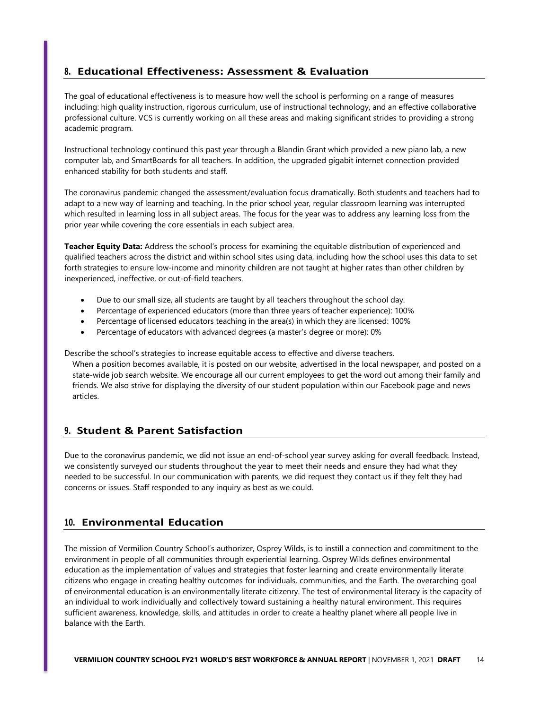# **8. Educational Effectiveness: Assessment & Evaluation**

The goal of educational effectiveness is to measure how well the school is performing on a range of measures including: high quality instruction, rigorous curriculum, use of instructional technology, and an effective collaborative professional culture. VCS is currently working on all these areas and making significant strides to providing a strong academic program.

Instructional technology continued this past year through a Blandin Grant which provided a new piano lab, a new computer lab, and SmartBoards for all teachers. In addition, the upgraded gigabit internet connection provided enhanced stability for both students and staff.

The coronavirus pandemic changed the assessment/evaluation focus dramatically. Both students and teachers had to adapt to a new way of learning and teaching. In the prior school year, regular classroom learning was interrupted which resulted in learning loss in all subject areas. The focus for the year was to address any learning loss from the prior year while covering the core essentials in each subject area.

**Teacher Equity Data:** Address the school's process for examining the equitable distribution of experienced and qualified teachers across the district and within school sites using data, including how the school uses this data to set forth strategies to ensure low-income and minority children are not taught at higher rates than other children by inexperienced, ineffective, or out-of-field teachers.

- Due to our small size, all students are taught by all teachers throughout the school day.
- Percentage of experienced educators (more than three years of teacher experience): 100%
- Percentage of licensed educators teaching in the area(s) in which they are licensed: 100%
- Percentage of educators with advanced degrees (a master's degree or more): 0%

Describe the school's strategies to increase equitable access to effective and diverse teachers.

When a position becomes available, it is posted on our website, advertised in the local newspaper, and posted on a state-wide job search website. We encourage all our current employees to get the word out among their family and friends. We also strive for displaying the diversity of our student population within our Facebook page and news articles.

# **9. Student & Parent Satisfaction**

Due to the coronavirus pandemic, we did not issue an end-of-school year survey asking for overall feedback. Instead, we consistently surveyed our students throughout the year to meet their needs and ensure they had what they needed to be successful. In our communication with parents, we did request they contact us if they felt they had concerns or issues. Staff responded to any inquiry as best as we could.

# **10. Environmental Education**

The mission of Vermilion Country School's authorizer, Osprey Wilds, is to instill a connection and commitment to the environment in people of all communities through experiential learning. Osprey Wilds defines environmental education as the implementation of values and strategies that foster learning and create environmentally literate citizens who engage in creating healthy outcomes for individuals, communities, and the Earth. The overarching goal of environmental education is an environmentally literate citizenry. The test of environmental literacy is the capacity of an individual to work individually and collectively toward sustaining a healthy natural environment. This requires sufficient awareness, knowledge, skills, and attitudes in order to create a healthy planet where all people live in balance with the Earth.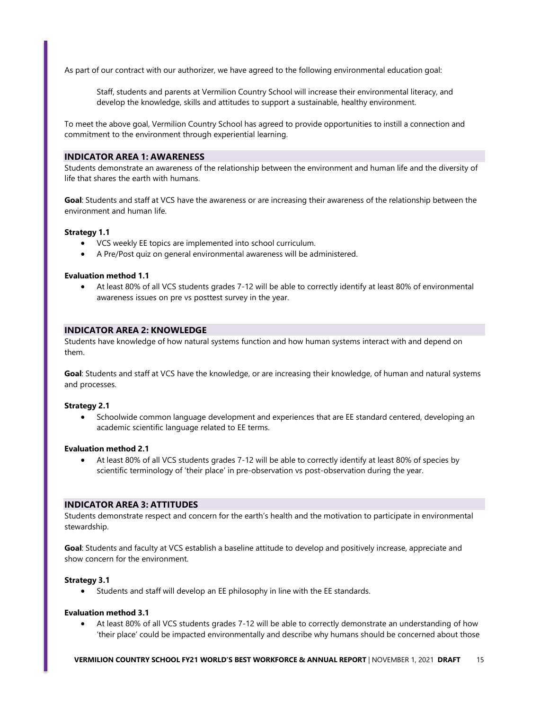As part of our contract with our authorizer, we have agreed to the following environmental education goal:

Staff, students and parents at Vermilion Country School will increase their environmental literacy, and develop the knowledge, skills and attitudes to support a sustainable, healthy environment.

To meet the above goal, Vermilion Country School has agreed to provide opportunities to instill a connection and commitment to the environment through experiential learning.

### **INDICATOR AREA 1: AWARENESS**

Students demonstrate an awareness of the relationship between the environment and human life and the diversity of life that shares the earth with humans.

**Goal**: Students and staff at VCS have the awareness or are increasing their awareness of the relationship between the environment and human life.

#### **Strategy 1.1**

- VCS weekly EE topics are implemented into school curriculum.
- A Pre/Post quiz on general environmental awareness will be administered.

### **Evaluation method 1.1**

 At least 80% of all VCS students grades 7-12 will be able to correctly identify at least 80% of environmental awareness issues on pre vs posttest survey in the year.

# **INDICATOR AREA 2: KNOWLEDGE**

Students have knowledge of how natural systems function and how human systems interact with and depend on them.

**Goal**: Students and staff at VCS have the knowledge, or are increasing their knowledge, of human and natural systems and processes.

#### **Strategy 2.1**

 Schoolwide common language development and experiences that are EE standard centered, developing an academic scientific language related to EE terms.

#### **Evaluation method 2.1**

 At least 80% of all VCS students grades 7-12 will be able to correctly identify at least 80% of species by scientific terminology of 'their place' in pre-observation vs post-observation during the year.

### **INDICATOR AREA 3: ATTITUDES**

Students demonstrate respect and concern for the earth's health and the motivation to participate in environmental stewardship.

**Goal**: Students and faculty at VCS establish a baseline attitude to develop and positively increase, appreciate and show concern for the environment.

### **Strategy 3.1**

Students and staff will develop an EE philosophy in line with the EE standards.

#### **Evaluation method 3.1**

 At least 80% of all VCS students grades 7-12 will be able to correctly demonstrate an understanding of how 'their place' could be impacted environmentally and describe why humans should be concerned about those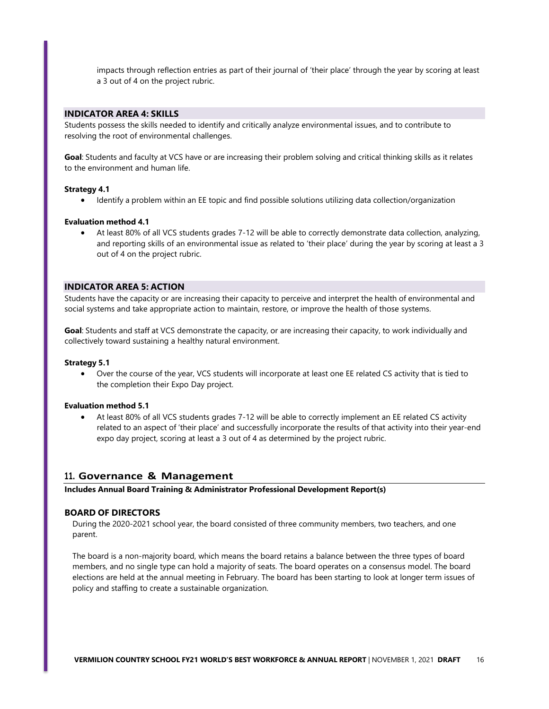impacts through reflection entries as part of their journal of 'their place' through the year by scoring at least a 3 out of 4 on the project rubric.

### **INDICATOR AREA 4: SKILLS**

Students possess the skills needed to identify and critically analyze environmental issues, and to contribute to resolving the root of environmental challenges.

**Goal**: Students and faculty at VCS have or are increasing their problem solving and critical thinking skills as it relates to the environment and human life.

### **Strategy 4.1**

• Identify a problem within an EE topic and find possible solutions utilizing data collection/organization

#### **Evaluation method 4.1**

 At least 80% of all VCS students grades 7-12 will be able to correctly demonstrate data collection, analyzing, and reporting skills of an environmental issue as related to 'their place' during the year by scoring at least a 3 out of 4 on the project rubric.

### **INDICATOR AREA 5: ACTION**

Students have the capacity or are increasing their capacity to perceive and interpret the health of environmental and social systems and take appropriate action to maintain, restore, or improve the health of those systems.

**Goal**: Students and staff at VCS demonstrate the capacity, or are increasing their capacity, to work individually and collectively toward sustaining a healthy natural environment.

#### **Strategy 5.1**

 Over the course of the year, VCS students will incorporate at least one EE related CS activity that is tied to the completion their Expo Day project.

#### **Evaluation method 5.1**

 At least 80% of all VCS students grades 7-12 will be able to correctly implement an EE related CS activity related to an aspect of 'their place' and successfully incorporate the results of that activity into their year-end expo day project, scoring at least a 3 out of 4 as determined by the project rubric.

### **11. Governance & Management**

**Includes Annual Board Training & Administrator Professional Development Report(s)**

### **BOARD OF DIRECTORS**

During the 2020-2021 school year, the board consisted of three community members, two teachers, and one parent.

The board is a non-majority board, which means the board retains a balance between the three types of board members, and no single type can hold a majority of seats. The board operates on a consensus model. The board elections are held at the annual meeting in February. The board has been starting to look at longer term issues of policy and staffing to create a sustainable organization.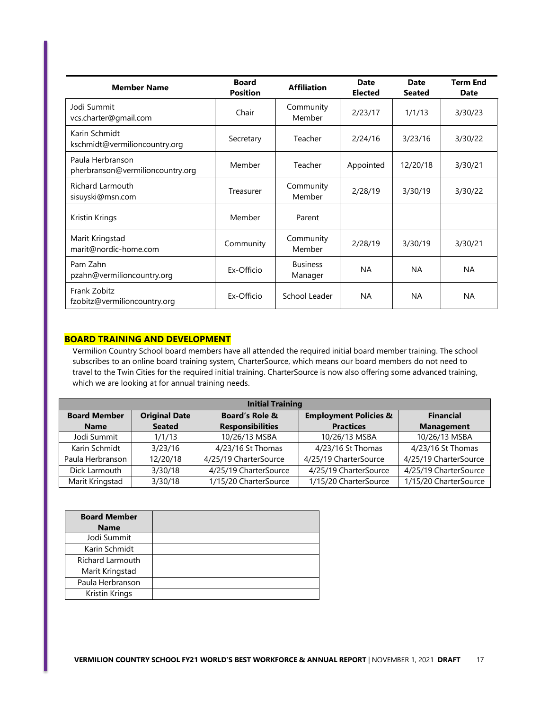| <b>Member Name</b>                                   | <b>Board</b><br><b>Position</b> | <b>Affiliation</b>         | <b>Date</b><br><b>Elected</b> | Date<br><b>Seated</b> | <b>Term End</b><br><b>Date</b> |
|------------------------------------------------------|---------------------------------|----------------------------|-------------------------------|-----------------------|--------------------------------|
| Jodi Summit<br>vcs.charter@gmail.com                 | Chair                           | Community<br>Member        | 2/23/17                       | 1/1/13                | 3/30/23                        |
| Karin Schmidt<br>kschmidt@vermilioncountry.org       | Secretary                       | Teacher                    | 2/24/16                       | 3/23/16               | 3/30/22                        |
| Paula Herbranson<br>pherbranson@vermilioncountry.org | Member                          | Teacher                    | Appointed                     | 12/20/18              | 3/30/21                        |
| <b>Richard Larmouth</b><br>sisuyski@msn.com          | Treasurer                       | Community<br>Member        | 2/28/19                       | 3/30/19               | 3/30/22                        |
| Kristin Krings                                       | Member                          | Parent                     |                               |                       |                                |
| Marit Kringstad<br>marit@nordic-home.com             | Community                       | Community<br>Member        | 2/28/19                       | 3/30/19               | 3/30/21                        |
| Pam Zahn<br>pzahn@vermilioncountry.org               | Ex-Officio                      | <b>Business</b><br>Manager | <b>NA</b>                     | <b>NA</b>             | <b>NA</b>                      |
| Frank Zobitz<br>fzobitz@vermilioncountry.org         | Ex-Officio                      | School Leader              | <b>NA</b>                     | <b>NA</b>             | <b>NA</b>                      |

# **BOARD TRAINING AND DEVELOPMENT**

Vermilion Country School board members have all attended the required initial board member training. The school subscribes to an online board training system, CharterSource, which means our board members do not need to travel to the Twin Cities for the required initial training. CharterSource is now also offering some advanced training, which we are looking at for annual training needs.

| <b>Initial Training</b> |                      |                           |                                  |                       |
|-------------------------|----------------------|---------------------------|----------------------------------|-----------------------|
| <b>Board Member</b>     | <b>Original Date</b> | <b>Board's Role &amp;</b> | <b>Employment Policies &amp;</b> | <b>Financial</b>      |
| <b>Name</b>             | <b>Seated</b>        | <b>Responsibilities</b>   | <b>Practices</b>                 | <b>Management</b>     |
| Jodi Summit             | 1/1/13               | 10/26/13 MSBA             | 10/26/13 MSBA                    | 10/26/13 MSBA         |
| Karin Schmidt           | 3/23/16              | 4/23/16 St Thomas         | 4/23/16 St Thomas                | 4/23/16 St Thomas     |
| Paula Herbranson        | 12/20/18             | 4/25/19 CharterSource     | 4/25/19 CharterSource            | 4/25/19 CharterSource |
| Dick Larmouth           | 3/30/18              | 4/25/19 CharterSource     | 4/25/19 CharterSource            | 4/25/19 CharterSource |
| Marit Kringstad         | 3/30/18              | 1/15/20 CharterSource     | 1/15/20 CharterSource            | 1/15/20 CharterSource |

| <b>Board Member</b> |  |
|---------------------|--|
| <b>Name</b>         |  |
| Jodi Summit         |  |
| Karin Schmidt       |  |
| Richard Larmouth    |  |
| Marit Kringstad     |  |
| Paula Herbranson    |  |
| Kristin Krings      |  |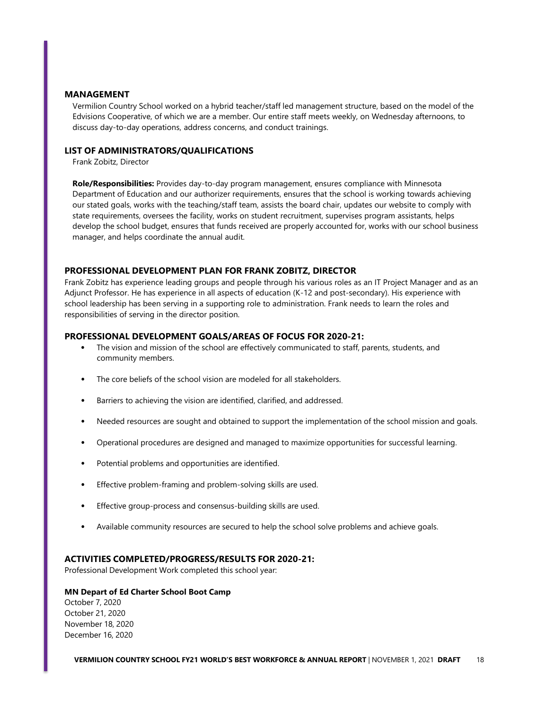### **MANAGEMENT**

Vermilion Country School worked on a hybrid teacher/staff led management structure, based on the model of the Edvisions Cooperative, of which we are a member. Our entire staff meets weekly, on Wednesday afternoons, to discuss day-to-day operations, address concerns, and conduct trainings.

### **LIST OF ADMINISTRATORS/QUALIFICATIONS**

Frank Zobitz, Director

**Role/Responsibilities:** Provides day-to-day program management, ensures compliance with Minnesota Department of Education and our authorizer requirements, ensures that the school is working towards achieving our stated goals, works with the teaching/staff team, assists the board chair, updates our website to comply with state requirements, oversees the facility, works on student recruitment, supervises program assistants, helps develop the school budget, ensures that funds received are properly accounted for, works with our school business manager, and helps coordinate the annual audit.

### **PROFESSIONAL DEVELOPMENT PLAN FOR FRANK ZOBITZ, DIRECTOR**

Frank Zobitz has experience leading groups and people through his various roles as an IT Project Manager and as an Adjunct Professor. He has experience in all aspects of education (K-12 and post-secondary). His experience with school leadership has been serving in a supporting role to administration. Frank needs to learn the roles and responsibilities of serving in the director position.

### **PROFESSIONAL DEVELOPMENT GOALS/AREAS OF FOCUS FOR 2020-21:**

- The vision and mission of the school are effectively communicated to staff, parents, students, and community members.
- The core beliefs of the school vision are modeled for all stakeholders.
- Barriers to achieving the vision are identified, clarified, and addressed.
- Needed resources are sought and obtained to support the implementation of the school mission and goals.
- Operational procedures are designed and managed to maximize opportunities for successful learning.
- Potential problems and opportunities are identified.
- Effective problem-framing and problem-solving skills are used.
- Effective group-process and consensus-building skills are used.
- Available community resources are secured to help the school solve problems and achieve goals.

### **ACTIVITIES COMPLETED/PROGRESS/RESULTS FOR 2020-21:**

Professional Development Work completed this school year:

### **MN Depart of Ed Charter School Boot Camp**

October 7, 2020 October 21, 2020 November 18, 2020 December 16, 2020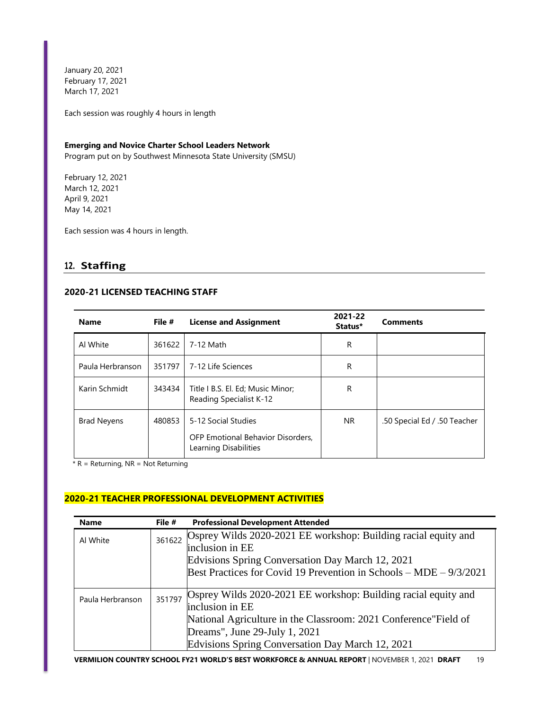January 20, 2021 February 17, 2021 March 17, 2021

Each session was roughly 4 hours in length

### **Emerging and Novice Charter School Leaders Network**

Program put on by Southwest Minnesota State University (SMSU)

February 12, 2021 March 12, 2021 April 9, 2021 May 14, 2021

Each session was 4 hours in length.

# **12. Staffing**

# **2020-21 LICENSED TEACHING STAFF**

| <b>Name</b>        | File # | <b>License and Assignment</b>                                                     | 2021-22<br>Status* | <b>Comments</b>              |
|--------------------|--------|-----------------------------------------------------------------------------------|--------------------|------------------------------|
| Al White           | 361622 | 7-12 Math                                                                         | R                  |                              |
| Paula Herbranson   | 351797 | 7-12 Life Sciences                                                                | R                  |                              |
| Karin Schmidt      | 343434 | Title I B.S. El. Ed; Music Minor;<br>Reading Specialist K-12                      | R                  |                              |
| <b>Brad Neyens</b> | 480853 | 5-12 Social Studies<br>OFP Emotional Behavior Disorders.<br>Learning Disabilities | NR.                | .50 Special Ed / .50 Teacher |

 $*$  R = Returning, NR = Not Returning

# **2020-21 TEACHER PROFESSIONAL DEVELOPMENT ACTIVITIES**

| <b>Name</b>      | File # | <b>Professional Development Attended</b>                                                                                                                                                                                                   |
|------------------|--------|--------------------------------------------------------------------------------------------------------------------------------------------------------------------------------------------------------------------------------------------|
| Al White         | 361622 | Osprey Wilds 2020-2021 EE workshop: Building racial equity and<br>inclusion in EE<br>Edvisions Spring Conversation Day March 12, 2021<br>Best Practices for Covid 19 Prevention in Schools – MDE – 9/3/2021                                |
| Paula Herbranson | 351797 | Osprey Wilds 2020-2021 EE workshop: Building racial equity and<br>inclusion in EE<br>National Agriculture in the Classroom: 2021 Conference" Field of<br>Dreams", June 29-July 1, 2021<br>Edvisions Spring Conversation Day March 12, 2021 |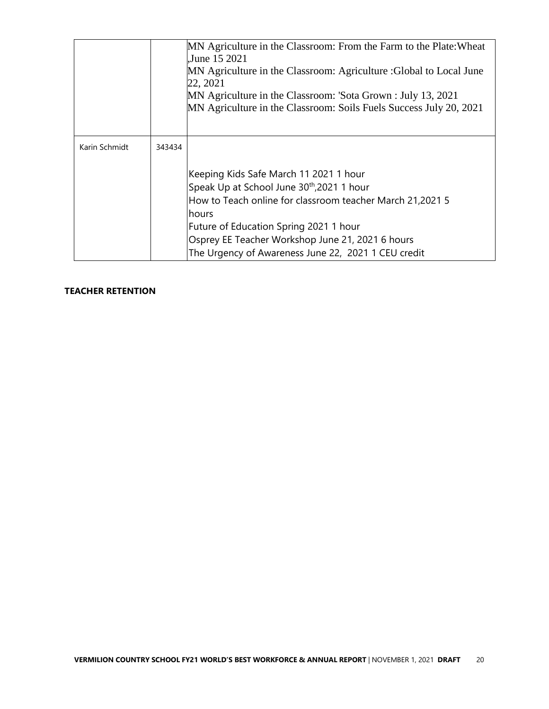|               |        | MN Agriculture in the Classroom: From the Farm to the Plate: Wheat<br>June 15 2021<br>MN Agriculture in the Classroom: Agriculture : Global to Local June<br>22, 2021<br>MN Agriculture in the Classroom: 'Sota Grown : July 13, 2021<br>MN Agriculture in the Classroom: Soils Fuels Success July 20, 2021 |
|---------------|--------|-------------------------------------------------------------------------------------------------------------------------------------------------------------------------------------------------------------------------------------------------------------------------------------------------------------|
| Karin Schmidt | 343434 |                                                                                                                                                                                                                                                                                                             |
|               |        | Keeping Kids Safe March 11 2021 1 hour<br>Speak Up at School June 30 <sup>th</sup> , 2021 1 hour<br>How to Teach online for classroom teacher March 21,2021 5<br>hours<br>Future of Education Spring 2021 1 hour<br>Osprey EE Teacher Workshop June 21, 2021 6 hours                                        |
|               |        | The Urgency of Awareness June 22, 2021 1 CEU credit                                                                                                                                                                                                                                                         |

# **TEACHER RETENTION**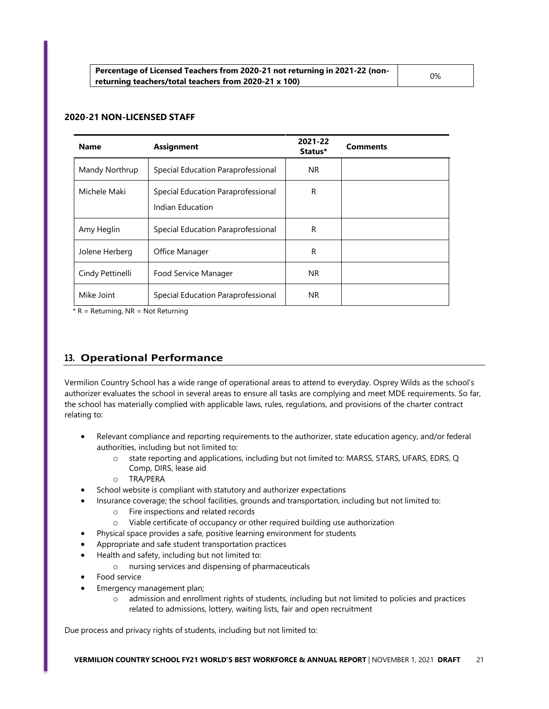| <b>Name</b>      | <b>Assignment</b>                                      | 2021-22<br>Status* | <b>Comments</b> |
|------------------|--------------------------------------------------------|--------------------|-----------------|
| Mandy Northrup   | Special Education Paraprofessional                     | NR.                |                 |
| Michele Maki     | Special Education Paraprofessional<br>Indian Education | R                  |                 |
| Amy Heglin       | Special Education Paraprofessional                     | R                  |                 |
| Jolene Herberg   | Office Manager                                         | R                  |                 |
| Cindy Pettinelli | Food Service Manager                                   | NR.                |                 |
| Mike Joint       | Special Education Paraprofessional                     | <b>NR</b>          |                 |

### **2020-21 NON-LICENSED STAFF**

 $*$  R = Returning, NR = Not Returning

# **13. Operational Performance**

Vermilion Country School has a wide range of operational areas to attend to everyday. Osprey Wilds as the school's authorizer evaluates the school in several areas to ensure all tasks are complying and meet MDE requirements. So far, the school has materially complied with applicable laws, rules, regulations, and provisions of the charter contract relating to:

- Relevant compliance and reporting requirements to the authorizer, state education agency, and/or federal authorities, including but not limited to:
	- o state reporting and applications, including but not limited to: MARSS, STARS, UFARS, EDRS, Q Comp, DIRS, lease aid
	- o TRA/PERA
- School website is compliant with statutory and authorizer expectations
	- Insurance coverage; the school facilities, grounds and transportation, including but not limited to:
		- o Fire inspections and related records
		- o Viable certificate of occupancy or other required building use authorization
- Physical space provides a safe, positive learning environment for students
- Appropriate and safe student transportation practices
- Health and safety, including but not limited to:
	- o nursing services and dispensing of pharmaceuticals
- Food service
- Emergency management plan;
	- o admission and enrollment rights of students, including but not limited to policies and practices related to admissions, lottery, waiting lists, fair and open recruitment

Due process and privacy rights of students, including but not limited to: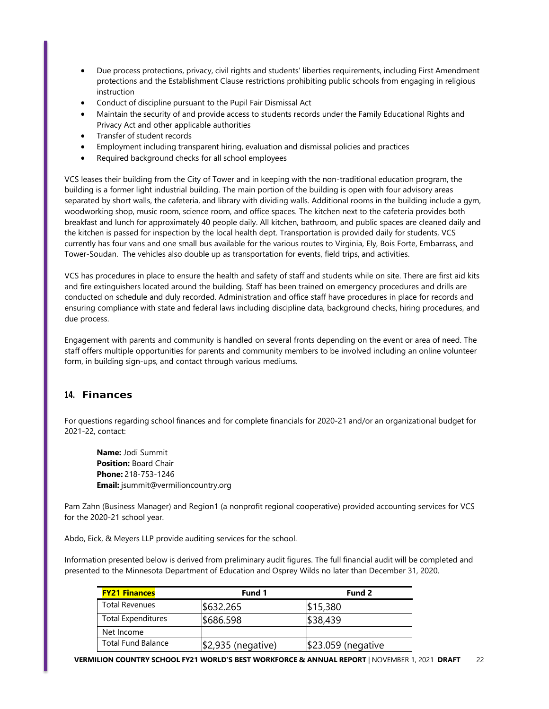- Due process protections, privacy, civil rights and students' liberties requirements, including First Amendment protections and the Establishment Clause restrictions prohibiting public schools from engaging in religious instruction
- Conduct of discipline pursuant to the Pupil Fair Dismissal Act
- Maintain the security of and provide access to students records under the Family Educational Rights and Privacy Act and other applicable authorities
- **•** Transfer of student records
- Employment including transparent hiring, evaluation and dismissal policies and practices
- Required background checks for all school employees

VCS leases their building from the City of Tower and in keeping with the non-traditional education program, the building is a former light industrial building. The main portion of the building is open with four advisory areas separated by short walls, the cafeteria, and library with dividing walls. Additional rooms in the building include a gym, woodworking shop, music room, science room, and office spaces. The kitchen next to the cafeteria provides both breakfast and lunch for approximately 40 people daily. All kitchen, bathroom, and public spaces are cleaned daily and the kitchen is passed for inspection by the local health dept. Transportation is provided daily for students, VCS currently has four vans and one small bus available for the various routes to Virginia, Ely, Bois Forte, Embarrass, and Tower-Soudan. The vehicles also double up as transportation for events, field trips, and activities.

VCS has procedures in place to ensure the health and safety of staff and students while on site. There are first aid kits and fire extinguishers located around the building. Staff has been trained on emergency procedures and drills are conducted on schedule and duly recorded. Administration and office staff have procedures in place for records and ensuring compliance with state and federal laws including discipline data, background checks, hiring procedures, and due process.

Engagement with parents and community is handled on several fronts depending on the event or area of need. The staff offers multiple opportunities for parents and community members to be involved including an online volunteer form, in building sign-ups, and contact through various mediums.

# **14. Finances**

For questions regarding school finances and for complete financials for 2020-21 and/or an organizational budget for 2021-22, contact:

**Name:** Jodi Summit **Position:** Board Chair **Phone:** 218-753-1246 **Email:** [jsummit@vermilioncountry.org](mailto:jsummit@vermilioncountry.org)

Pam Zahn (Business Manager) and Region1 (a nonprofit regional cooperative) provided accounting services for VCS for the 2020-21 school year.

Abdo, Eick, & Meyers LLP provide auditing services for the school.

Information presented below is derived from preliminary audit figures. The full financial audit will be completed and presented to the Minnesota Department of Education and Osprey Wilds no later than December 31, 2020.

| <b>FY21 Finances</b>      | Fund 1             | Fund 2             |
|---------------------------|--------------------|--------------------|
| <b>Total Revenues</b>     | \$632.265          | \$15,380           |
| <b>Total Expenditures</b> | \$686.598          | \$38,439           |
| Net Income                |                    |                    |
| <b>Total Fund Balance</b> | \$2,935 (negative) | \$23.059 (negative |

**VERMILION COUNTRY SCHOOL FY21 WORLD'S BEST WORKFORCE & ANNUAL REPORT** | NOVEMBER 1, 2021 **DRAFT** 22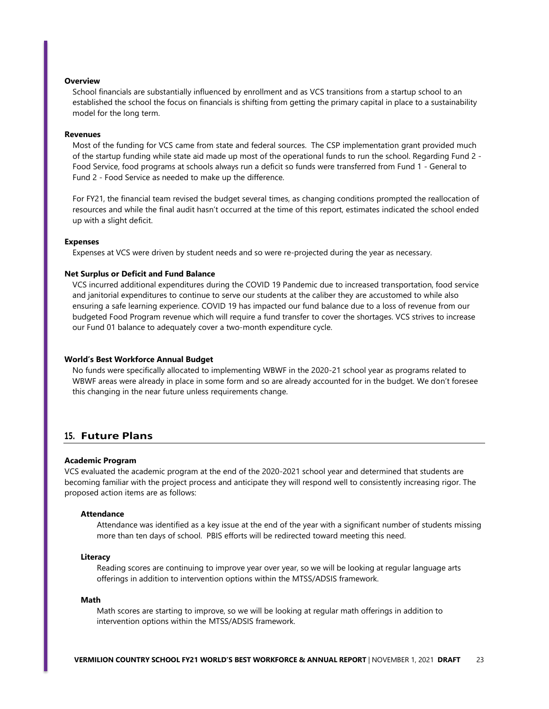### **Overview**

School financials are substantially influenced by enrollment and as VCS transitions from a startup school to an established the school the focus on financials is shifting from getting the primary capital in place to a sustainability model for the long term.

#### **Revenues**

Most of the funding for VCS came from state and federal sources. The CSP implementation grant provided much of the startup funding while state aid made up most of the operational funds to run the school. Regarding Fund 2 - Food Service, food programs at schools always run a deficit so funds were transferred from Fund 1 - General to Fund 2 - Food Service as needed to make up the difference.

For FY21, the financial team revised the budget several times, as changing conditions prompted the reallocation of resources and while the final audit hasn't occurred at the time of this report, estimates indicated the school ended up with a slight deficit.

### **Expenses**

Expenses at VCS were driven by student needs and so were re-projected during the year as necessary.

#### **Net Surplus or Deficit and Fund Balance**

VCS incurred additional expenditures during the COVID 19 Pandemic due to increased transportation, food service and janitorial expenditures to continue to serve our students at the caliber they are accustomed to while also ensuring a safe learning experience. COVID 19 has impacted our fund balance due to a loss of revenue from our budgeted Food Program revenue which will require a fund transfer to cover the shortages. VCS strives to increase our Fund 01 balance to adequately cover a two-month expenditure cycle.

### **World's Best Workforce Annual Budget**

No funds were specifically allocated to implementing WBWF in the 2020-21 school year as programs related to WBWF areas were already in place in some form and so are already accounted for in the budget. We don't foresee this changing in the near future unless requirements change.

### **15. Future Plans**

#### **Academic Program**

VCS evaluated the academic program at the end of the 2020-2021 school year and determined that students are becoming familiar with the project process and anticipate they will respond well to consistently increasing rigor. The proposed action items are as follows:

#### **Attendance**

Attendance was identified as a key issue at the end of the year with a significant number of students missing more than ten days of school. PBIS efforts will be redirected toward meeting this need.

#### **Literacy**

Reading scores are continuing to improve year over year, so we will be looking at regular language arts offerings in addition to intervention options within the MTSS/ADSIS framework.

#### **Math**

Math scores are starting to improve, so we will be looking at regular math offerings in addition to intervention options within the MTSS/ADSIS framework.